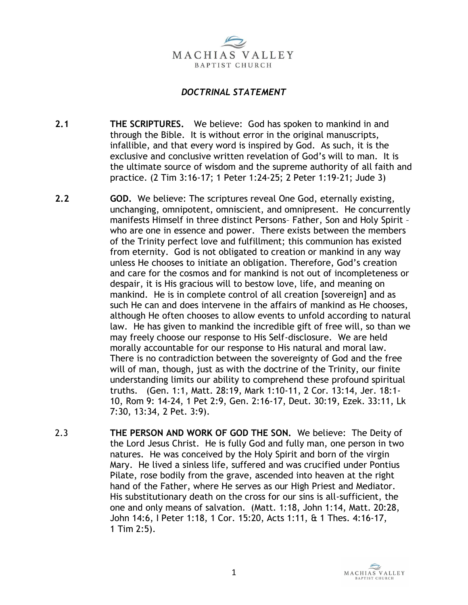

## *DOCTRINAL STATEMENT*

- **2.1 THE SCRIPTURES.** We believe: God has spoken to mankind in and through the Bible. It is without error in the original manuscripts, infallible, and that every word is inspired by God. As such, it is the exclusive and conclusive written revelation of God's will to man. It is the ultimate source of wisdom and the supreme authority of all faith and practice. (2 Tim 3:16-17; 1 Peter 1:24-25; 2 Peter 1:19-21; Jude 3)
- **2.2 GOD.** We believe: The scriptures reveal One God, eternally existing, unchanging, omnipotent, omniscient, and omnipresent. He concurrently manifests Himself in three distinct Persons– Father, Son and Holy Spirit – who are one in essence and power. There exists between the members of the Trinity perfect love and fulfillment; this communion has existed from eternity. God is not obligated to creation or mankind in any way unless He chooses to initiate an obligation. Therefore, God's creation and care for the cosmos and for mankind is not out of incompleteness or despair, it is His gracious will to bestow love, life, and meaning on mankind. He is in complete control of all creation [sovereign] and as such He can and does intervene in the affairs of mankind as He chooses, although He often chooses to allow events to unfold according to natural law. He has given to mankind the incredible gift of free will, so than we may freely choose our response to His Self-disclosure. We are held morally accountable for our response to His natural and moral law. There is no contradiction between the sovereignty of God and the free will of man, though, just as with the doctrine of the Trinity, our finite understanding limits our ability to comprehend these profound spiritual truths. (Gen. 1:1, Matt. 28:19, Mark 1:10-11, 2 Cor. 13:14, Jer. 18:1- 10, Rom 9: 14-24, 1 Pet 2:9, Gen. 2:16-17, Deut. 30:19, Ezek. 33:11, Lk 7:30, 13:34, 2 Pet. 3:9).
- 2.3 **THE PERSON AND WORK OF GOD THE SON.** We believe: The Deity of the Lord Jesus Christ. He is fully God and fully man, one person in two natures. He was conceived by the Holy Spirit and born of the virgin Mary. He lived a sinless life, suffered and was crucified under Pontius Pilate, rose bodily from the grave, ascended into heaven at the right hand of the Father, where He serves as our High Priest and Mediator. His substitutionary death on the cross for our sins is all-sufficient, the one and only means of salvation. (Matt. 1:18, John 1:14, Matt. 20:28, John 14:6, I Peter 1:18, 1 Cor. 15:20, Acts 1:11, & 1 Thes. 4:16-17, 1 Tim 2:5).

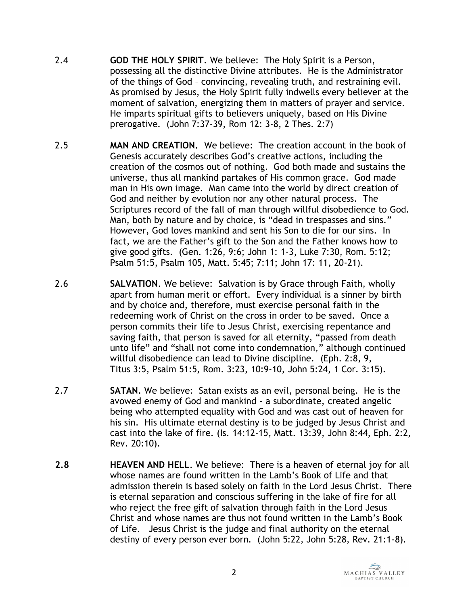- 2.4 **GOD THE HOLY SPIRIT**. We believe: The Holy Spirit is a Person, possessing all the distinctive Divine attributes. He is the Administrator of the things of God – convincing, revealing truth, and restraining evil. As promised by Jesus, the Holy Spirit fully indwells every believer at the moment of salvation, energizing them in matters of prayer and service. He imparts spiritual gifts to believers uniquely, based on His Divine prerogative. (John 7:37-39, Rom 12: 3-8, 2 Thes. 2:7)
- 2.5 **MAN AND CREATION.** We believe: The creation account in the book of Genesis accurately describes God's creative actions, including the creation of the cosmos out of nothing. God both made and sustains the universe, thus all mankind partakes of His common grace. God made man in His own image. Man came into the world by direct creation of God and neither by evolution nor any other natural process. The Scriptures record of the fall of man through willful disobedience to God. Man, both by nature and by choice, is "dead in trespasses and sins." However, God loves mankind and sent his Son to die for our sins. In fact, we are the Father's gift to the Son and the Father knows how to give good gifts. (Gen. 1:26, 9:6; John 1: 1-3, Luke 7:30, Rom. 5:12; Psalm 51:5, Psalm 105, Matt. 5:45; 7:11; John 17: 11, 20-21).
- 2.6 **SALVATION**. We believe: Salvation is by Grace through Faith, wholly apart from human merit or effort. Every individual is a sinner by birth and by choice and, therefore, must exercise personal faith in the redeeming work of Christ on the cross in order to be saved. Once a person commits their life to Jesus Christ, exercising repentance and saving faith, that person is saved for all eternity, "passed from death unto life" and "shall not come into condemnation," although continued willful disobedience can lead to Divine discipline. (Eph. 2:8, 9, Titus 3:5, Psalm 51:5, Rom. 3:23, 10:9-10, John 5:24, 1 Cor. 3:15).
- 2.7 **SATAN.** We believe: Satan exists as an evil, personal being. He is the avowed enemy of God and mankind - a subordinate, created angelic being who attempted equality with God and was cast out of heaven for his sin. His ultimate eternal destiny is to be judged by Jesus Christ and cast into the lake of fire. (Is. 14:12-15, Matt. 13:39, John 8:44, Eph. 2:2, Rev. 20:10).
- **2.8 HEAVEN AND HELL**. We believe: There is a heaven of eternal joy for all whose names are found written in the Lamb's Book of Life and that admission therein is based solely on faith in the Lord Jesus Christ. There is eternal separation and conscious suffering in the lake of fire for all who reject the free gift of salvation through faith in the Lord Jesus Christ and whose names are thus not found written in the Lamb's Book of Life. Jesus Christ is the judge and final authority on the eternal destiny of every person ever born. (John 5:22, John 5:28, Rev. 21:1-8).